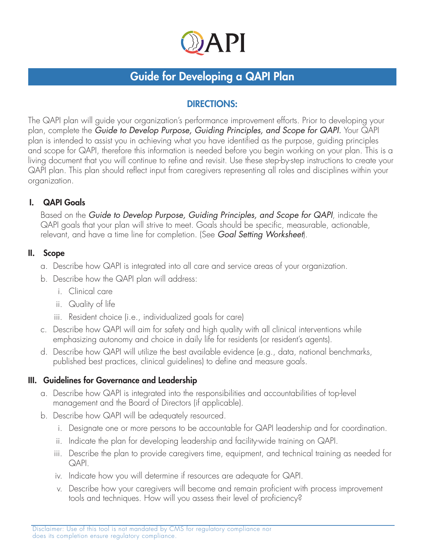

# Guide for Developing a QAPI Plan

# DIRECTIONS:

The QAPI plan will guide your organization's performance improvement efforts. Prior to developing your plan, complete the *Guide to Develop Purpose, Guiding Principles, and Scope for QAPI.* Your QAPI plan is intended to assist you in achieving what you have identified as the purpose, guiding principles and scope for QAPI, therefore this information is needed before you begin working on your plan. This is a living document that you will continue to refine and revisit. Use these step-by-step instructions to create your QAPI plan. This plan should reflect input from caregivers representing all roles and disciplines within your organization.

## I. QAPI Goals

Based on the *Guide to Develop Purpose, Guiding Principles, and Scope for QAPI*, indicate the QAPI goals that your plan will strive to meet. Goals should be specific, measurable, actionable, relevant, and have a time line for completion. (See *Goal Setting Worksheet*).

### II. Scope

- a. Describe how QAPI is integrated into all care and service areas of your organization.
- b. Describe how the QAPI plan will address:
	- i. Clinical care
	- ii. Quality of life
	- iii. Resident choice (i.e., individualized goals for care)
- c. Describe how QAPI will aim for safety and high quality with all clinical interventions while emphasizing autonomy and choice in daily life for residents (or resident's agents).
- d. Describe how QAPI will utilize the best available evidence (e.g., data, national benchmarks, published best practices, clinical guidelines) to define and measure goals.

## III. Guidelines for Governance and Leadership

- a. Describe how QAPI is integrated into the responsibilities and accountabilities of top-level management and the Board of Directors (if applicable).
- b. Describe how QAPI will be adequately resourced.
	- i. Designate one or more persons to be accountable for QAPI leadership and for coordination.
	- ii. Indicate the plan for developing leadership and facility-wide training on QAPI.
	- iii. Describe the plan to provide caregivers time, equipment, and technical training as needed for QAPI.
	- iv. Indicate how you will determine if resources are adequate for QAPI.
	- v. Describe how your caregivers will become and remain proficient with process improvement tools and techniques. How will you assess their level of proficiency?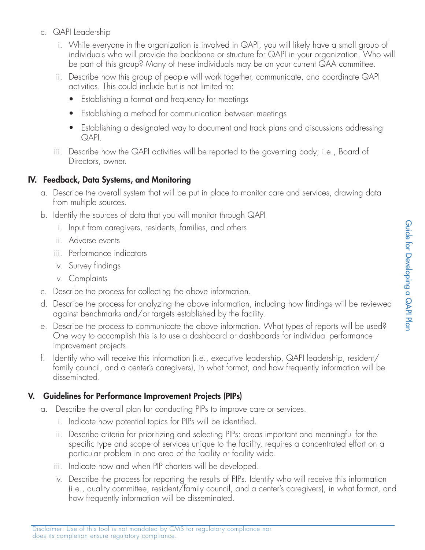- c. QAPI Leadership
	- i. While everyone in the organization is involved in QAPI, you will likely have a small group of individuals who will provide the backbone or structure for QAPI in your organization. Who will be part of this group? Many of these individuals may be on your current QAA committee.
	- ii. Describe how this group of people will work together, communicate, and coordinate QAPI activities. This could include but is not limited to:
		- Establishing a format and frequency for meetings
		- Establishing a method for communication between meetings
		- Establishing a designated way to document and track plans and discussions addressing QAPI.
	- iii. Describe how the QAPI activities will be reported to the governing body; i.e., Board of Directors, owner.

#### IV. Feedback, Data Systems, and Monitoring

- a. Describe the overall system that will be put in place to monitor care and services, drawing data from multiple sources.
- b. Identify the sources of data that you will monitor through QAPI
	- i. Input from caregivers, residents, families, and others
	- ii. Adverse events
	- iii. Performance indicators
	- iv. Survey findings
	- v. Complaints
- c. Describe the process for collecting the above information.
- d. Describe the process for analyzing the above information, including how findings will be reviewed against benchmarks and/or targets established by the facility.
- e. Describe the process to communicate the above information. What types of reports will be used? One way to accomplish this is to use a dashboard or dashboards for individual performance improvement projects.
- f. Identify who will receive this information (i.e., executive leadership, QAPI leadership, resident/ family council, and a center's caregivers), in what format, and how frequently information will be disseminated.

#### V. Guidelines for Performance Improvement Projects (PIPs)

- a. Describe the overall plan for conducting PIPs to improve care or services.
	- i. Indicate how potential topics for PIPs will be identified.
	- ii. Describe criteria for prioritizing and selecting PIPs: areas important and meaningful for the specific type and scope of services unique to the facility, requires a concentrated effort on a particular problem in one area of the facility or facility wide.
	- iii. Indicate how and when PIP charters will be developed.
	- iv. Describe the process for reporting the results of PIPs. Identify who will receive this information (i.e., quality committee, resident/family council, and a center's caregivers), in what format, and how frequently information will be disseminated.